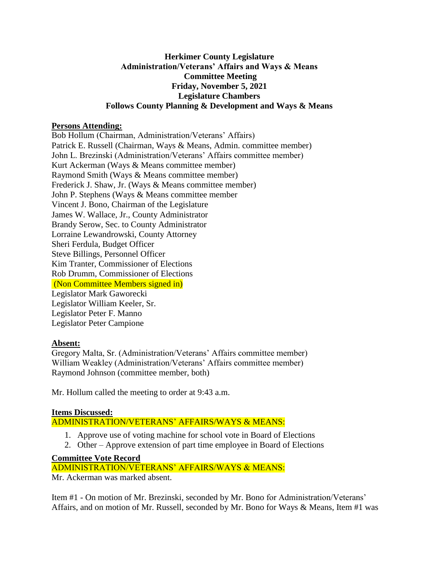### **Herkimer County Legislature Administration/Veterans' Affairs and Ways & Means Committee Meeting Friday, November 5, 2021 Legislature Chambers Follows County Planning & Development and Ways & Means**

# **Persons Attending:**

Bob Hollum (Chairman, Administration/Veterans' Affairs) Patrick E. Russell (Chairman, Ways & Means, Admin. committee member) John L. Brezinski (Administration/Veterans' Affairs committee member) Kurt Ackerman (Ways & Means committee member) Raymond Smith (Ways & Means committee member) Frederick J. Shaw, Jr. (Ways & Means committee member) John P. Stephens (Ways & Means committee member Vincent J. Bono, Chairman of the Legislature James W. Wallace, Jr., County Administrator Brandy Serow, Sec. to County Administrator Lorraine Lewandrowski, County Attorney Sheri Ferdula, Budget Officer Steve Billings, Personnel Officer Kim Tranter, Commissioner of Elections Rob Drumm, Commissioner of Elections (Non Committee Members signed in) Legislator Mark Gaworecki Legislator William Keeler, Sr. Legislator Peter F. Manno Legislator Peter Campione

# **Absent:**

Gregory Malta, Sr. (Administration/Veterans' Affairs committee member) William Weakley (Administration/Veterans' Affairs committee member) Raymond Johnson (committee member, both)

Mr. Hollum called the meeting to order at 9:43 a.m.

# **Items Discussed:**

# ADMINISTRATION/VETERANS' AFFAIRS/WAYS & MEANS:

- 1. Approve use of voting machine for school vote in Board of Elections
- 2. Other Approve extension of part time employee in Board of Elections

# **Committee Vote Record**

ADMINISTRATION/VETERANS' AFFAIRS/WAYS & MEANS:

Mr. Ackerman was marked absent.

Item #1 - On motion of Mr. Brezinski, seconded by Mr. Bono for Administration/Veterans' Affairs, and on motion of Mr. Russell, seconded by Mr. Bono for Ways & Means, Item #1 was